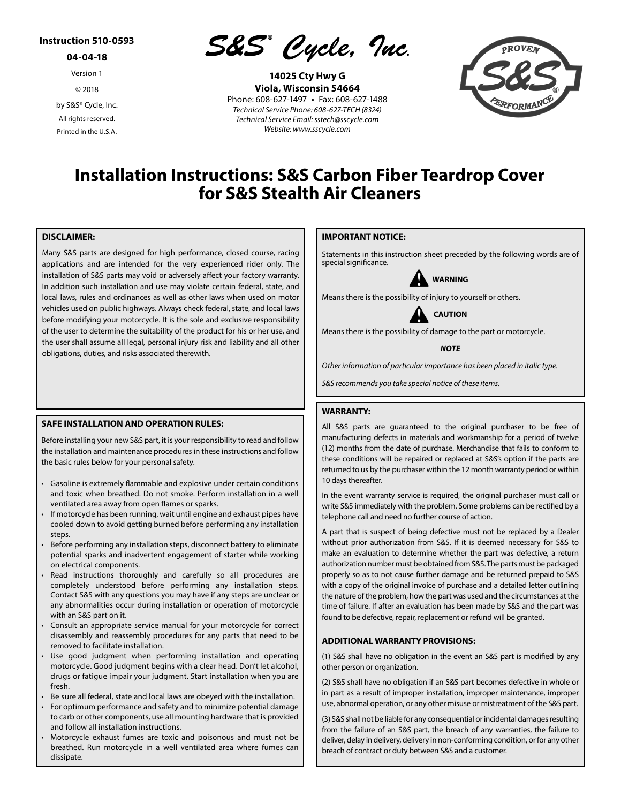## **Instruction 510-0593**

**04-04-18**

Version 1

© 2018

by S&S® Cycle, Inc. All rights reserved. Printed in the U.S.A.

*S&S ® Cycle, Inc***.**

**14025 Cty Hwy G Viola, Wisconsin 54664** Phone: 608-627-1497 • Fax: 608-627-1488 *Technical Service Phone: 608-627-TECH (8324) Technical Service Email: sstech@sscycle.com Website: www.sscycle.com*



# **Installation Instructions: S&S Carbon Fiber Teardrop Cover for S&S Stealth Air Cleaners**

### **DISCLAIMER:**

Many S&S parts are designed for high performance, closed course, racing applications and are intended for the very experienced rider only. The installation of S&S parts may void or adversely affect your factory warranty. In addition such installation and use may violate certain federal, state, and local laws, rules and ordinances as well as other laws when used on motor vehicles used on public highways. Always check federal, state, and local laws before modifying your motorcycle. It is the sole and exclusive responsibility of the user to determine the suitability of the product for his or her use, and the user shall assume all legal, personal injury risk and liability and all other obligations, duties, and risks associated therewith.

#### **SAFE INSTALLATION AND OPERATION RULES:**

Before installing your new S&S part, it is your responsibility to read and follow the installation and maintenance procedures in these instructions and follow the basic rules below for your personal safety.

- Gasoline is extremely flammable and explosive under certain conditions and toxic when breathed. Do not smoke. Perform installation in a well ventilated area away from open flames or sparks.
- If motorcycle has been running, wait until engine and exhaust pipes have cooled down to avoid getting burned before performing any installation steps.
- Before performing any installation steps, disconnect battery to eliminate potential sparks and inadvertent engagement of starter while working on electrical components.
- Read instructions thoroughly and carefully so all procedures are completely understood before performing any installation steps. Contact S&S with any questions you may have if any steps are unclear or any abnormalities occur during installation or operation of motorcycle with an S&S part on it.
- Consult an appropriate service manual for your motorcycle for correct disassembly and reassembly procedures for any parts that need to be removed to facilitate installation.
- Use good judgment when performing installation and operating motorcycle. Good judgment begins with a clear head. Don't let alcohol, drugs or fatigue impair your judgment. Start installation when you are fresh.
- Be sure all federal, state and local laws are obeyed with the installation.
- For optimum performance and safety and to minimize potential damage to carb or other components, use all mounting hardware that is provided and follow all installation instructions.
- Motorcycle exhaust fumes are toxic and poisonous and must not be breathed. Run motorcycle in a well ventilated area where fumes can dissipate.

## **IMPORTANT NOTICE:**

Statements in this instruction sheet preceded by the following words are of special significance.



Means there is the possibility of injury to yourself or others.

**CAUTION**

Means there is the possibility of damage to the part or motorcycle.

*NOTE*

*Other information of particular importance has been placed in italic type.*

*S&S recommends you take special notice of these items.*

#### **WARRANTY:**

All S&S parts are guaranteed to the original purchaser to be free of manufacturing defects in materials and workmanship for a period of twelve (12) months from the date of purchase. Merchandise that fails to conform to these conditions will be repaired or replaced at S&S's option if the parts are returned to us by the purchaser within the 12 month warranty period or within 10 days thereafter.

In the event warranty service is required, the original purchaser must call or write S&S immediately with the problem. Some problems can be rectified by a telephone call and need no further course of action.

A part that is suspect of being defective must not be replaced by a Dealer without prior authorization from S&S. If it is deemed necessary for S&S to make an evaluation to determine whether the part was defective, a return authorization number must be obtained from S&S. The parts must be packaged properly so as to not cause further damage and be returned prepaid to S&S with a copy of the original invoice of purchase and a detailed letter outlining the nature of the problem, how the part was used and the circumstances at the time of failure. If after an evaluation has been made by S&S and the part was found to be defective, repair, replacement or refund will be granted.

#### **ADDITIONAL WARRANTY PROVISIONS:**

(1) S&S shall have no obligation in the event an S&S part is modified by any other person or organization.

(2) S&S shall have no obligation if an S&S part becomes defective in whole or in part as a result of improper installation, improper maintenance, improper use, abnormal operation, or any other misuse or mistreatment of the S&S part.

(3) S&S shall not be liable for any consequential or incidental damages resulting from the failure of an S&S part, the breach of any warranties, the failure to deliver, delay in delivery, delivery in non-conforming condition, or for any other breach of contract or duty between S&S and a customer.